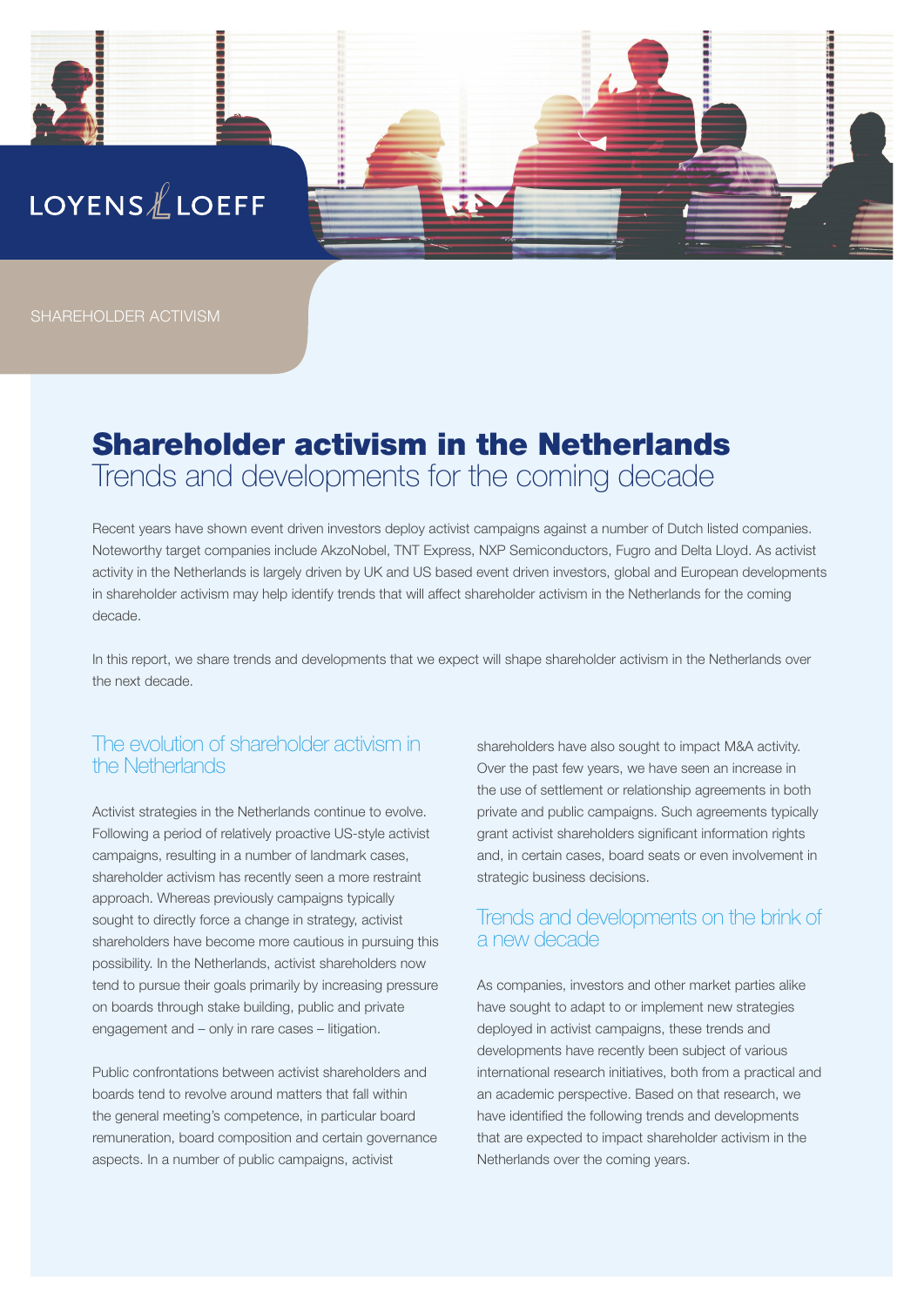

SHAREHOLDER ACTIVISM

# Shareholder activism in the Netherlands Trends and developments for the coming decade

Recent years have shown event driven investors deploy activist campaigns against a number of Dutch listed companies. Noteworthy target companies include AkzoNobel, TNT Express, NXP Semiconductors, Fugro and Delta Lloyd. As activist activity in the Netherlands is largely driven by UK and US based event driven investors, global and European developments in shareholder activism may help identify trends that will affect shareholder activism in the Netherlands for the coming decade.

In this report, we share trends and developments that we expect will shape shareholder activism in the Netherlands over the next decade.

## The evolution of shareholder activism in the Netherlands

Activist strategies in the Netherlands continue to evolve. Following a period of relatively proactive US-style activist campaigns, resulting in a number of landmark cases, shareholder activism has recently seen a more restraint approach. Whereas previously campaigns typically sought to directly force a change in strategy, activist shareholders have become more cautious in pursuing this possibility. In the Netherlands, activist shareholders now tend to pursue their goals primarily by increasing pressure on boards through stake building, public and private engagement and – only in rare cases – litigation.

Public confrontations between activist shareholders and boards tend to revolve around matters that fall within the general meeting's competence, in particular board remuneration, board composition and certain governance aspects. In a number of public campaigns, activist

shareholders have also sought to impact M&A activity. Over the past few years, we have seen an increase in the use of settlement or relationship agreements in both private and public campaigns. Such agreements typically grant activist shareholders significant information rights and, in certain cases, board seats or even involvement in strategic business decisions.

### Trends and developments on the brink of a new decade

As companies, investors and other market parties alike have sought to adapt to or implement new strategies deployed in activist campaigns, these trends and developments have recently been subject of various international research initiatives, both from a practical and an academic perspective. Based on that research, we have identified the following trends and developments that are expected to impact shareholder activism in the Netherlands over the coming years.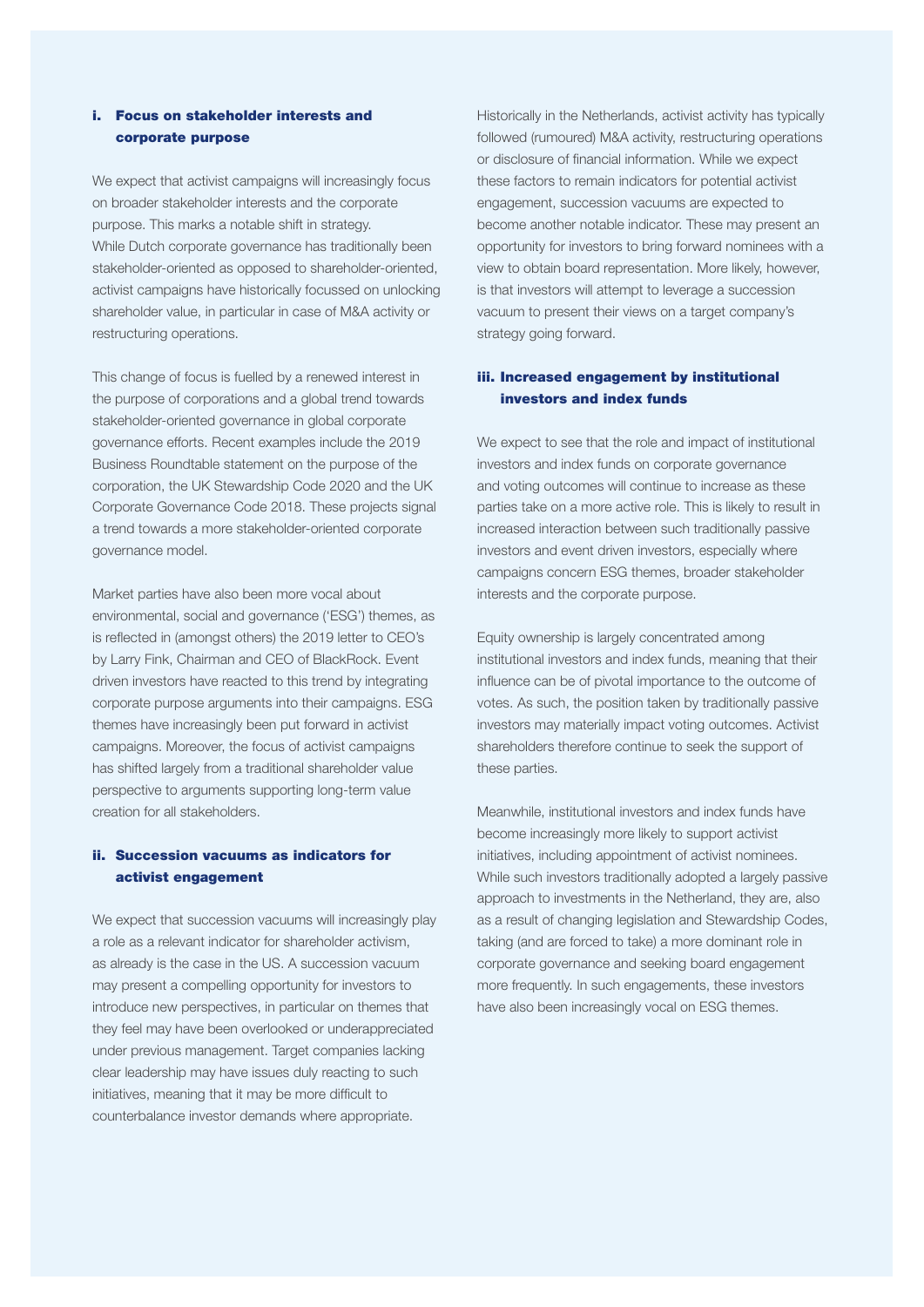#### i. Focus on stakeholder interests and corporate purpose

We expect that activist campaigns will increasingly focus on broader stakeholder interests and the corporate purpose. This marks a notable shift in strategy. While Dutch corporate governance has traditionally been stakeholder-oriented as opposed to shareholder-oriented, activist campaigns have historically focussed on unlocking shareholder value, in particular in case of M&A activity or restructuring operations.

This change of focus is fuelled by a renewed interest in the purpose of corporations and a global trend towards stakeholder-oriented governance in global corporate governance efforts. Recent examples include the 2019 Business Roundtable statement on the purpose of the corporation, the UK Stewardship Code 2020 and the UK Corporate Governance Code 2018. These projects signal a trend towards a more stakeholder-oriented corporate governance model.

Market parties have also been more vocal about environmental, social and governance ('ESG') themes, as is reflected in (amongst others) the 2019 letter to CEO's by Larry Fink, Chairman and CEO of BlackRock. Event driven investors have reacted to this trend by integrating corporate purpose arguments into their campaigns. ESG themes have increasingly been put forward in activist campaigns. Moreover, the focus of activist campaigns has shifted largely from a traditional shareholder value perspective to arguments supporting long-term value creation for all stakeholders.

#### ii. Succession vacuums as indicators for activist engagement

We expect that succession vacuums will increasingly play a role as a relevant indicator for shareholder activism, as already is the case in the US. A succession vacuum may present a compelling opportunity for investors to introduce new perspectives, in particular on themes that they feel may have been overlooked or underappreciated under previous management. Target companies lacking clear leadership may have issues duly reacting to such initiatives, meaning that it may be more difficult to counterbalance investor demands where appropriate.

Historically in the Netherlands, activist activity has typically followed (rumoured) M&A activity, restructuring operations or disclosure of financial information. While we expect these factors to remain indicators for potential activist engagement, succession vacuums are expected to become another notable indicator. These may present an opportunity for investors to bring forward nominees with a view to obtain board representation. More likely, however, is that investors will attempt to leverage a succession vacuum to present their views on a target company's strategy going forward.

#### iii. Increased engagement by institutional investors and index funds

We expect to see that the role and impact of institutional investors and index funds on corporate governance and voting outcomes will continue to increase as these parties take on a more active role. This is likely to result in increased interaction between such traditionally passive investors and event driven investors, especially where campaigns concern ESG themes, broader stakeholder interests and the corporate purpose.

Equity ownership is largely concentrated among institutional investors and index funds, meaning that their influence can be of pivotal importance to the outcome of votes. As such, the position taken by traditionally passive investors may materially impact voting outcomes. Activist shareholders therefore continue to seek the support of these parties.

Meanwhile, institutional investors and index funds have become increasingly more likely to support activist initiatives, including appointment of activist nominees. While such investors traditionally adopted a largely passive approach to investments in the Netherland, they are, also as a result of changing legislation and Stewardship Codes, taking (and are forced to take) a more dominant role in corporate governance and seeking board engagement more frequently. In such engagements, these investors have also been increasingly vocal on ESG themes.